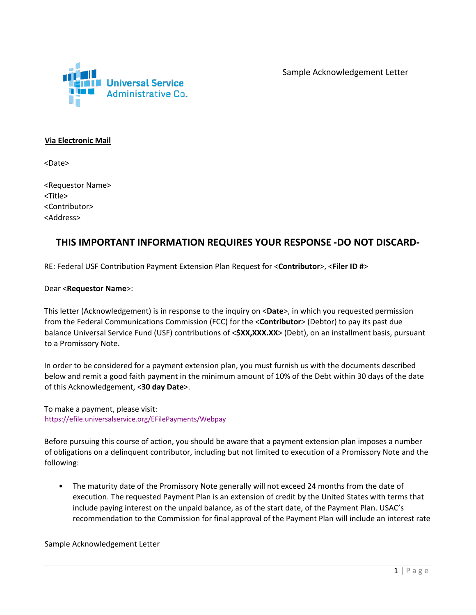

#### **Via Electronic Mail**

<Date>

<Requestor Name> <Title> <Contributor> <Address>

#### **THIS IMPORTANT INFORMATION REQUIRES YOUR RESPONSE -DO NOT DISCARD-**

RE: Federal USF Contribution Payment Extension Plan Request for <**Contributor**>, <**Filer ID #**>

#### Dear <**Requestor Name**>:

This letter (Acknowledgement) is in response to the inquiry on <**Date**>, in which you requested permission from the Federal Communications Commission (FCC) for the <**Contributor**> (Debtor) to pay its past due balance Universal Service Fund (USF) contributions of <**\$XX,XXX.XX**> (Debt), on an installment basis, pursuant to a Promissory Note.

In order to be considered for a payment extension plan, you must furnish us with the documents described below and remit a good faith payment in the minimum amount of 10% of the Debt within 30 days of the date of this Acknowledgement, <**30 day Date**>.

To make a payment, please visit: <https://efile.universalservice.org/EFilePayments/Webpay>

Before pursuing this course of action, you should be aware that a payment extension plan imposes a number of obligations on a delinquent contributor, including but not limited to execution of a Promissory Note and the following:

• The maturity date of the Promissory Note generally will not exceed 24 months from the date of execution. The requested Payment Plan is an extension of credit by the United States with terms that include paying interest on the unpaid balance, as of the start date, of the Payment Plan. USAC's recommendation to the Commission for final approval of the Payment Plan will include an interest rate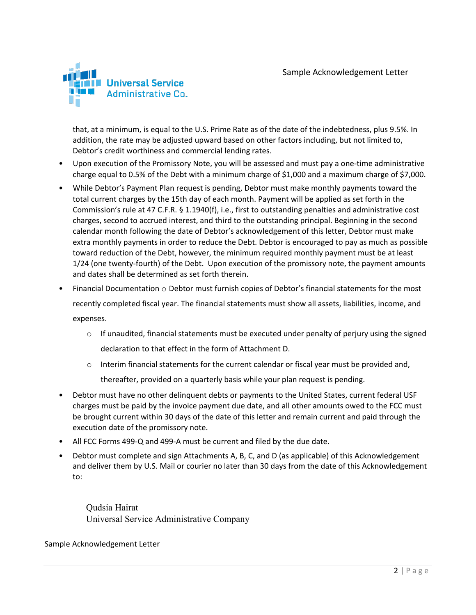

that, at a minimum, is equal to the U.S. Prime Rate as of the date of the indebtedness, plus 9.5%. In addition, the rate may be adjusted upward based on other factors including, but not limited to, Debtor's credit worthiness and commercial lending rates.

- Upon execution of the Promissory Note, you will be assessed and must pay a one-time administrative charge equal to 0.5% of the Debt with a minimum charge of \$1,000 and a maximum charge of \$7,000.
- While Debtor's Payment Plan request is pending, Debtor must make monthly payments toward the total current charges by the 15th day of each month. Payment will be applied as set forth in the Commission's rule at 47 C.F.R. § 1.1940(f), i.e., first to outstanding penalties and administrative cost charges, second to accrued interest, and third to the outstanding principal. Beginning in the second calendar month following the date of Debtor's acknowledgement of this letter, Debtor must make extra monthly payments in order to reduce the Debt. Debtor is encouraged to pay as much as possible toward reduction of the Debt, however, the minimum required monthly payment must be at least 1/24 (one twenty-fourth) of the Debt. Upon execution of the promissory note, the payment amounts and dates shall be determined as set forth therein.
- Financial Documentation  $\circ$  Debtor must furnish copies of Debtor's financial statements for the most recently completed fiscal year. The financial statements must show all assets, liabilities, income, and expenses.
	- $\circ$  If unaudited, financial statements must be executed under penalty of perjury using the signed declaration to that effect in the form of Attachment D.
	- $\circ$  Interim financial statements for the current calendar or fiscal year must be provided and,

thereafter, provided on a quarterly basis while your plan request is pending.

- Debtor must have no other delinquent debts or payments to the United States, current federal USF charges must be paid by the invoice payment due date, and all other amounts owed to the FCC must be brought current within 30 days of the date of this letter and remain current and paid through the execution date of the promissory note.
- All FCC Forms 499-Q and 499-A must be current and filed by the due date.
- Debtor must complete and sign Attachments A, B, C, and D (as applicable) of this Acknowledgement and deliver them by U.S. Mail or courier no later than 30 days from the date of this Acknowledgement to:

Qudsia Hairat Universal Service Administrative Company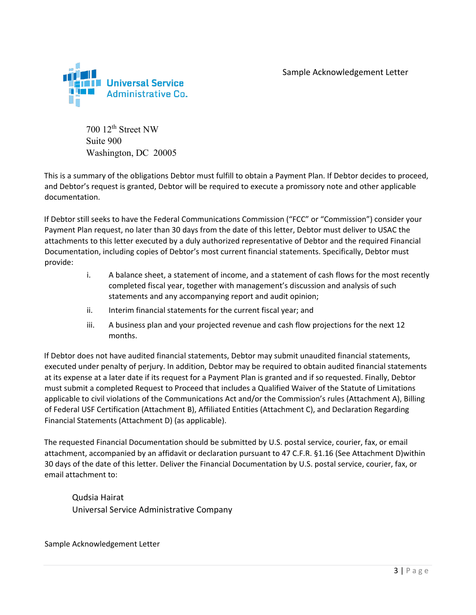

700 12th Street NW Suite 900 Washington, DC 20005

This is a summary of the obligations Debtor must fulfill to obtain a Payment Plan. If Debtor decides to proceed, and Debtor's request is granted, Debtor will be required to execute a promissory note and other applicable documentation.

If Debtor still seeks to have the Federal Communications Commission ("FCC" or "Commission") consider your Payment Plan request, no later than 30 days from the date of this letter, Debtor must deliver to USAC the attachments to this letter executed by a duly authorized representative of Debtor and the required Financial Documentation, including copies of Debtor's most current financial statements. Specifically, Debtor must provide:

- i. A balance sheet, a statement of income, and a statement of cash flows for the most recently completed fiscal year, together with management's discussion and analysis of such statements and any accompanying report and audit opinion;
- ii. Interim financial statements for the current fiscal year; and
- iii. A business plan and your projected revenue and cash flow projections for the next 12 months.

If Debtor does not have audited financial statements, Debtor may submit unaudited financial statements, executed under penalty of perjury. In addition, Debtor may be required to obtain audited financial statements at its expense at a later date if its request for a Payment Plan is granted and if so requested. Finally, Debtor must submit a completed Request to Proceed that includes a Qualified Waiver of the Statute of Limitations applicable to civil violations of the Communications Act and/or the Commission's rules (Attachment A), Billing of Federal USF Certification (Attachment B), Affiliated Entities (Attachment C), and Declaration Regarding Financial Statements (Attachment D) (as applicable).

The requested Financial Documentation should be submitted by U.S. postal service, courier, fax, or email attachment, accompanied by an affidavit or declaration pursuant to 47 C.F.R. §1.16 (See Attachment D)within 30 days of the date of this letter. Deliver the Financial Documentation by U.S. postal service, courier, fax, or email attachment to:

Qudsia Hairat Universal Service Administrative Company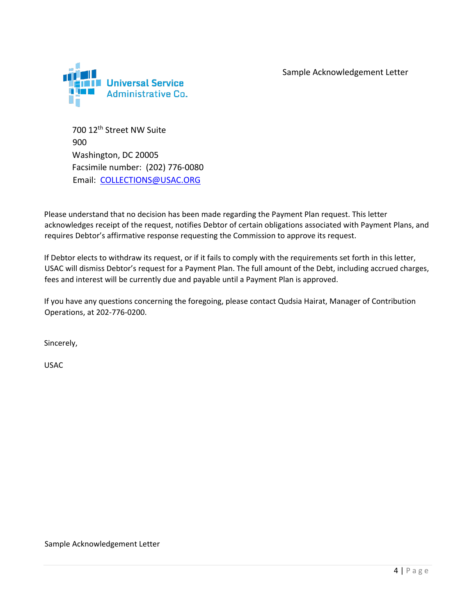

700 12th Street NW Suite 900 Washington, DC 20005 Facsimile number: (202) 776-0080 Email: COLLECTIONS@USAC.ORG

Please understand that no decision has been made regarding the Payment Plan request. This letter acknowledges receipt of the request, notifies Debtor of certain obligations associated with Payment Plans, and requires Debtor's affirmative response requesting the Commission to approve its request.

If Debtor elects to withdraw its request, or if it fails to comply with the requirements set forth in this letter, USAC will dismiss Debtor's request for a Payment Plan. The full amount of the Debt, including accrued charges, fees and interest will be currently due and payable until a Payment Plan is approved.

If you have any questions concerning the foregoing, please contact Qudsia Hairat, Manager of Contribution Operations, at 202-776-0200.

Sincerely,

USAC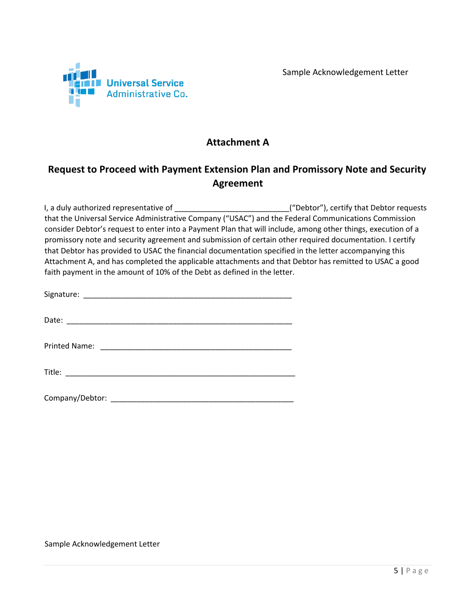

### **Attachment A**

# **Request to Proceed with Payment Extension Plan and Promissory Note and Security Agreement**

I, a duly authorized representative of \_\_\_\_\_\_\_\_\_\_\_\_\_\_\_\_\_\_\_\_\_\_\_\_\_\_\_\_\_\_\_\_("Debtor"), certify that Debtor requests that the Universal Service Administrative Company ("USAC") and the Federal Communications Commission consider Debtor's request to enter into a Payment Plan that will include, among other things, execution of a promissory note and security agreement and submission of certain other required documentation. I certify that Debtor has provided to USAC the financial documentation specified in the letter accompanying this Attachment A, and has completed the applicable attachments and that Debtor has remitted to USAC a good faith payment in the amount of 10% of the Debt as defined in the letter.

| Company/Debtor: |
|-----------------|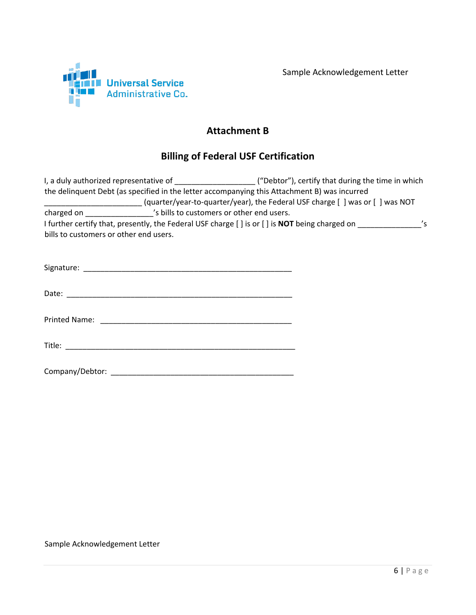



### **Attachment B**

## **Billing of Federal USF Certification**

|                                        |                                           | I, a duly authorized representative of $($ "Debtor"), certify that during the time in which   |                            |
|----------------------------------------|-------------------------------------------|-----------------------------------------------------------------------------------------------|----------------------------|
|                                        |                                           | the delinquent Debt (as specified in the letter accompanying this Attachment B) was incurred  |                            |
|                                        |                                           | (quarter/year-to-quarter/year), the Federal USF charge [ ] was or [ ] was NOT                 |                            |
| charged on                             | 's bills to customers or other end users. |                                                                                               |                            |
|                                        |                                           | I further certify that, presently, the Federal USF charge [] is or [] is NOT being charged on | $\mathcal{L}_{\mathsf{S}}$ |
| bills to customers or other end users. |                                           |                                                                                               |                            |
| Signature:                             |                                           |                                                                                               |                            |

| Date. |  |  |  |
|-------|--|--|--|
|       |  |  |  |

Printed Name: \_\_\_\_\_\_\_\_\_\_\_\_\_\_\_\_\_\_\_\_\_\_\_\_\_\_\_\_\_\_\_\_\_\_\_\_\_\_\_\_\_\_\_\_\_

| ÷··<br>۱۱۴۱۵<br>11.1.1 |  |  |  |
|------------------------|--|--|--|
|                        |  |  |  |

| Company/Debtor: |  |
|-----------------|--|
|-----------------|--|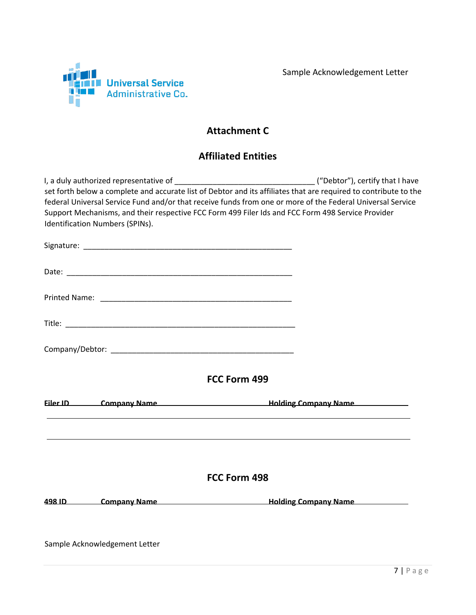

# **Attachment C**

## **Affiliated Entities**

| Identification Numbers (SPINs). | Support Mechanisms, and their respective FCC Form 499 Filer Ids and FCC Form 498 Service Provider | set forth below a complete and accurate list of Debtor and its affiliates that are required to contribute to the<br>federal Universal Service Fund and/or that receive funds from one or more of the Federal Universal Service |
|---------------------------------|---------------------------------------------------------------------------------------------------|--------------------------------------------------------------------------------------------------------------------------------------------------------------------------------------------------------------------------------|
|                                 |                                                                                                   |                                                                                                                                                                                                                                |
|                                 |                                                                                                   |                                                                                                                                                                                                                                |
|                                 |                                                                                                   |                                                                                                                                                                                                                                |
|                                 |                                                                                                   |                                                                                                                                                                                                                                |
|                                 |                                                                                                   |                                                                                                                                                                                                                                |
|                                 | FCC Form 499                                                                                      |                                                                                                                                                                                                                                |
|                                 |                                                                                                   | Filer ID Company Name <b>Example 2018</b> Holding Company Name                                                                                                                                                                 |
|                                 | FCC Form 498                                                                                      |                                                                                                                                                                                                                                |
|                                 |                                                                                                   | 498 ID Company Name <b>Example 2008</b> Holding Company Name                                                                                                                                                                   |
| Sample Acknowledgement Letter   |                                                                                                   |                                                                                                                                                                                                                                |